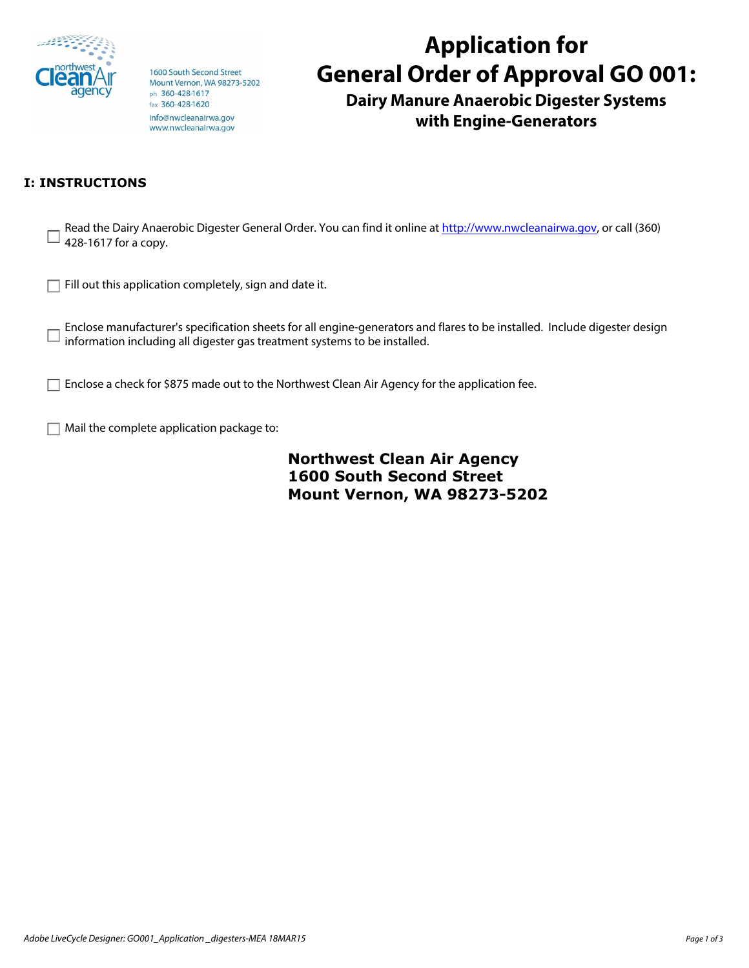

1600 South Second Street Mount Vernon, WA 98273-5202 ph 360-428-1617 fax 360-428-1620 info@nwcleanairwa.gov www.nwcleanairwa.gov

## **Application for General Order of Approval GO 001:**

**Dairy Manure Anaerobic Digester Systems with Engine-Generators** 

## **I: INSTRUCTIONS**

| 428-1617 for a copy.                                                                                                                                                                                   |
|--------------------------------------------------------------------------------------------------------------------------------------------------------------------------------------------------------|
| Fill out this application completely, sign and date it.                                                                                                                                                |
| Enclose manufacturer's specification sheets for all engine-generators and flares to be installed. Include digester design<br>information including all digester gas treatment systems to be installed. |
| Enclose a check for \$875 made out to the Northwest Clean Air Agency for the application fee.                                                                                                          |
| Mail the complete application package to:                                                                                                                                                              |
| Northwest Clean Air Agency                                                                                                                                                                             |

**Northwest Clean Air Agency 1600 South Second Street Mount Vernon, WA 98273-5202**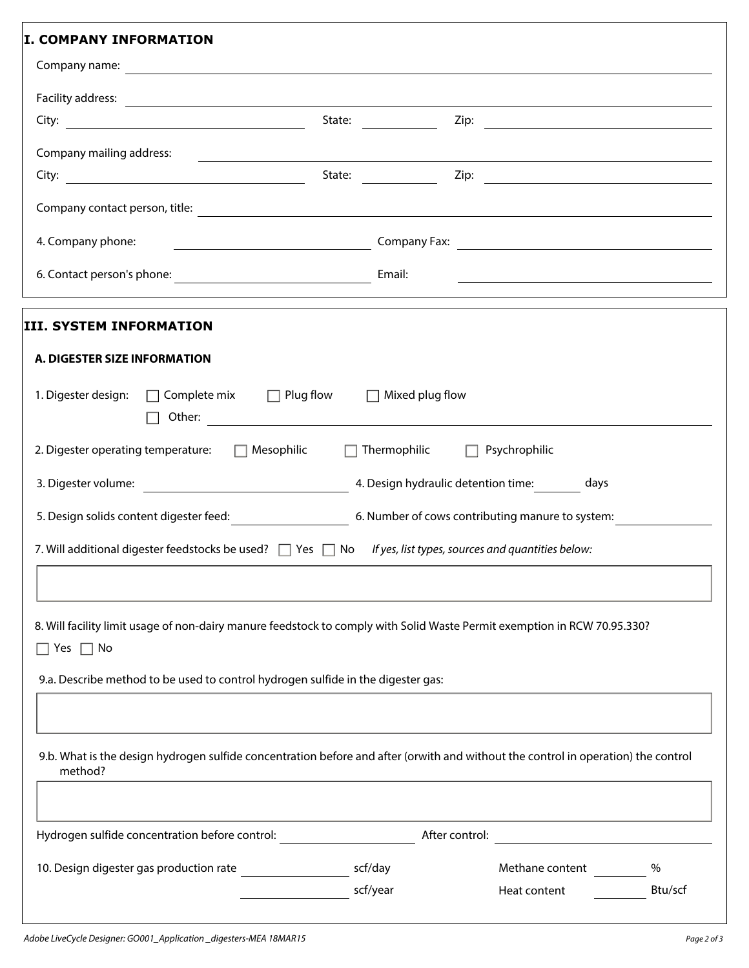| <b>I. COMPANY INFORMATION</b>                                                                                                                                                                                                 |         |                                                                                                                                                                                                                                |                                                                                                                       |      |
|-------------------------------------------------------------------------------------------------------------------------------------------------------------------------------------------------------------------------------|---------|--------------------------------------------------------------------------------------------------------------------------------------------------------------------------------------------------------------------------------|-----------------------------------------------------------------------------------------------------------------------|------|
|                                                                                                                                                                                                                               |         |                                                                                                                                                                                                                                |                                                                                                                       |      |
|                                                                                                                                                                                                                               |         |                                                                                                                                                                                                                                |                                                                                                                       |      |
|                                                                                                                                                                                                                               |         | State: and the state of the state of the state of the state of the state of the state of the state of the state of the state of the state of the state of the state of the state of the state of the state of the state of the |                                                                                                                       |      |
| Company mailing address:                                                                                                                                                                                                      |         |                                                                                                                                                                                                                                | <u> 1989 - Johann Stoff, amerikansk politiker (d. 1989)</u>                                                           |      |
|                                                                                                                                                                                                                               | State:  |                                                                                                                                                                                                                                |                                                                                                                       |      |
|                                                                                                                                                                                                                               |         |                                                                                                                                                                                                                                |                                                                                                                       |      |
| 4. Company phone:<br><u> 1980 - Jan Stein Stein, fransk politik (f. 1980)</u>                                                                                                                                                 |         |                                                                                                                                                                                                                                |                                                                                                                       |      |
|                                                                                                                                                                                                                               |         |                                                                                                                                                                                                                                | <u> 1989 - Johann Harry Harry Harry Harry Harry Harry Harry Harry Harry Harry Harry Harry Harry Harry Harry Harry</u> |      |
| III. SYSTEM INFORMATION                                                                                                                                                                                                       |         |                                                                                                                                                                                                                                |                                                                                                                       |      |
| A. DIGESTER SIZE INFORMATION                                                                                                                                                                                                  |         |                                                                                                                                                                                                                                |                                                                                                                       |      |
|                                                                                                                                                                                                                               |         |                                                                                                                                                                                                                                |                                                                                                                       |      |
| 2. Digester operating temperature: □ Mesophilic                                                                                                                                                                               |         | $\Box$ Thermophilic $\Box$ Psychrophilic                                                                                                                                                                                       |                                                                                                                       |      |
|                                                                                                                                                                                                                               |         |                                                                                                                                                                                                                                |                                                                                                                       |      |
|                                                                                                                                                                                                                               |         |                                                                                                                                                                                                                                |                                                                                                                       |      |
| 7. Will additional digester feedstocks be used? $\Box$ Yes $\Box$ No If yes, list types, sources and quantities below:                                                                                                        |         |                                                                                                                                                                                                                                |                                                                                                                       |      |
|                                                                                                                                                                                                                               |         |                                                                                                                                                                                                                                |                                                                                                                       |      |
| 8. Will facility limit usage of non-dairy manure feedstock to comply with Solid Waste Permit exemption in RCW 70.95.330?<br>Yes $\Box$ No<br>9.a. Describe method to be used to control hydrogen sulfide in the digester gas: |         |                                                                                                                                                                                                                                |                                                                                                                       |      |
| 9.b. What is the design hydrogen sulfide concentration before and after (orwith and without the control in operation) the control<br>method?                                                                                  |         |                                                                                                                                                                                                                                |                                                                                                                       |      |
| Hydrogen sulfide concentration before control:                                                                                                                                                                                |         | After control:                                                                                                                                                                                                                 |                                                                                                                       |      |
| 10. Design digester gas production rate                                                                                                                                                                                       | scf/day |                                                                                                                                                                                                                                | Methane content                                                                                                       | $\%$ |
|                                                                                                                                                                                                                               |         | scf/year                                                                                                                                                                                                                       | Heat content                                                                                                          |      |